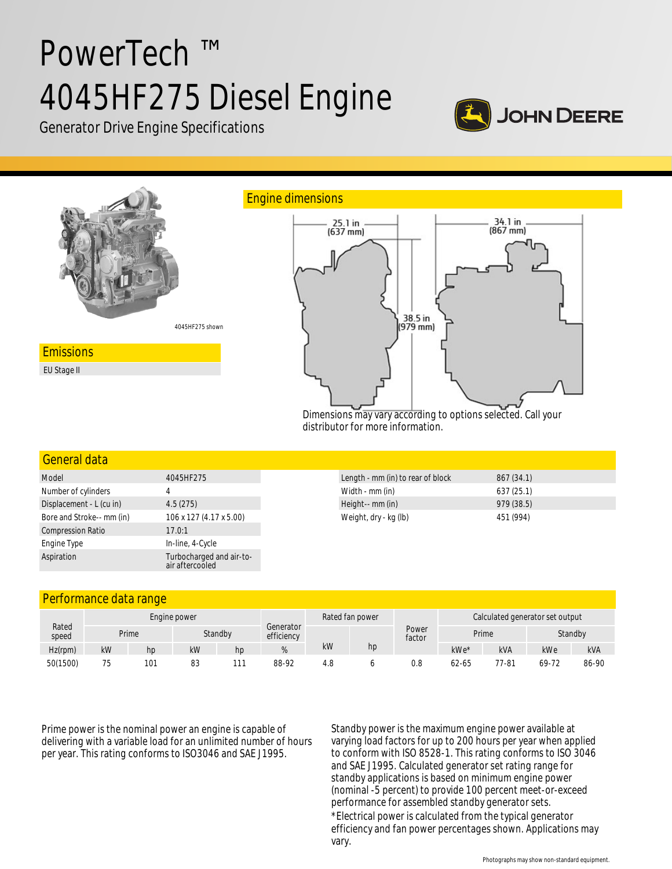# PowerTech ™ 4045HF275 Diesel Engine



Generator Drive Engine Specifications



Dimensions may vary according to options selected. Call your distributor for more information.

## General data

| Model                     | 4045HF275                                   |  |  |  |  |
|---------------------------|---------------------------------------------|--|--|--|--|
| Number of cylinders       | 4                                           |  |  |  |  |
| Displacement - L (cu in)  | 4.5(275)                                    |  |  |  |  |
| Bore and Stroke-- mm (in) | 106 x 127 (4.17 x 5.00)                     |  |  |  |  |
| <b>Compression Ratio</b>  | 17.0:1                                      |  |  |  |  |
| Engine Type               | In-line, 4-Cycle                            |  |  |  |  |
| Aspiration                | Turbocharged and air-to-<br>air aftercooled |  |  |  |  |

| Length - mm (in) to rear of block | 867(34.1) |
|-----------------------------------|-----------|
| Width - mm (in)                   | 637(25.1) |
| Height-- mm (in)                  | 979(38.5) |
| Weight, dry - kg (lb)             | 451 (994) |

## Performance data range

| Rated<br>speed | Engine power |     |    |         |                         |     | Rated fan power |                 | Calculated generator set output |            |         |            |
|----------------|--------------|-----|----|---------|-------------------------|-----|-----------------|-----------------|---------------------------------|------------|---------|------------|
|                | Prime        |     |    | Standby | Generator<br>efficiency |     |                 | Power<br>factor | Prime                           |            | Standby |            |
| Hz(rpm)        | kW           | hp  | kW | hp      | 70                      | kW  | hp              |                 | $kWe*$                          | <b>kVA</b> | kWe     | <b>kVA</b> |
| 50(1500)       | 75<br>ر ،    | 101 | 83 | 111     | 88-92                   | 4.8 |                 | 0.8             | $62 - 65$                       | 77-81      | 69-72   | 86-90      |

Prime power is the nominal power an engine is capable of delivering with a variable load for an unlimited number of hours per year. This rating conforms to ISO3046 and SAE J1995.

Standby power is the maximum engine power available at varying load factors for up to 200 hours per year when applied to conform with ISO 8528-1. This rating conforms to ISO 3046 and SAE J1995. Calculated generator set rating range for standby applications is based on minimum engine power (nominal -5 percent) to provide 100 percent meet-or-exceed performance for assembled standby generator sets. \*Electrical power is calculated from the typical generator efficiency and fan power percentages shown. Applications may vary.